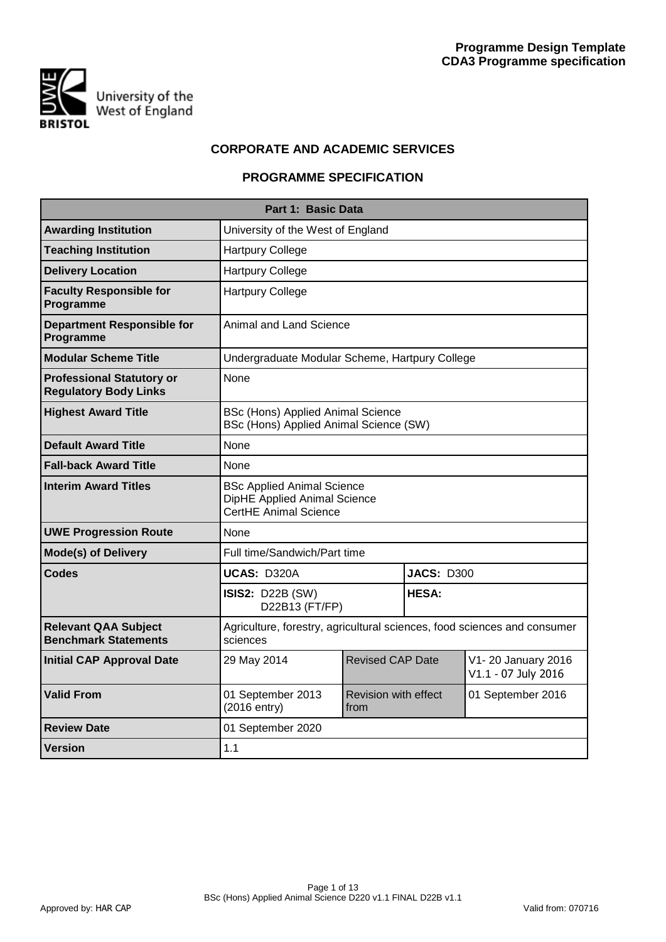

# **CORPORATE AND ACADEMIC SERVICES**

# **PROGRAMME SPECIFICATION**

|                                                                  | Part 1: Basic Data                                                                         |                              |                   |                                           |
|------------------------------------------------------------------|--------------------------------------------------------------------------------------------|------------------------------|-------------------|-------------------------------------------|
| <b>Awarding Institution</b>                                      | University of the West of England                                                          |                              |                   |                                           |
| <b>Teaching Institution</b>                                      | <b>Hartpury College</b>                                                                    |                              |                   |                                           |
| <b>Delivery Location</b>                                         | <b>Hartpury College</b>                                                                    |                              |                   |                                           |
| <b>Faculty Responsible for</b><br>Programme                      | <b>Hartpury College</b>                                                                    |                              |                   |                                           |
| <b>Department Responsible for</b><br>Programme                   | Animal and Land Science                                                                    |                              |                   |                                           |
| <b>Modular Scheme Title</b>                                      | Undergraduate Modular Scheme, Hartpury College                                             |                              |                   |                                           |
| <b>Professional Statutory or</b><br><b>Regulatory Body Links</b> | None                                                                                       |                              |                   |                                           |
| <b>Highest Award Title</b>                                       | BSc (Hons) Applied Animal Science<br>BSc (Hons) Applied Animal Science (SW)                |                              |                   |                                           |
| <b>Default Award Title</b>                                       | None                                                                                       |                              |                   |                                           |
| <b>Fall-back Award Title</b>                                     | None                                                                                       |                              |                   |                                           |
| <b>Interim Award Titles</b>                                      | <b>BSc Applied Animal Science</b><br>DipHE Applied Animal Science<br>CertHE Animal Science |                              |                   |                                           |
| <b>UWE Progression Route</b>                                     | None                                                                                       |                              |                   |                                           |
| <b>Mode(s) of Delivery</b>                                       | Full time/Sandwich/Part time                                                               |                              |                   |                                           |
| <b>Codes</b>                                                     | UCAS: D320A                                                                                |                              | <b>JACS: D300</b> |                                           |
|                                                                  | <b>ISIS2: D22B (SW)</b><br>D22B13 (FT/FP)                                                  |                              | <b>HESA:</b>      |                                           |
| <b>Relevant QAA Subject</b><br><b>Benchmark Statements</b>       | Agriculture, forestry, agricultural sciences, food sciences and consumer<br>sciences       |                              |                   |                                           |
| <b>Initial CAP Approval Date</b>                                 | 29 May 2014                                                                                | <b>Revised CAP Date</b>      |                   | V1-20 January 2016<br>V1.1 - 07 July 2016 |
| <b>Valid From</b>                                                | 01 September 2013<br>(2016 entry)                                                          | Revision with effect<br>from |                   | 01 September 2016                         |
| <b>Review Date</b>                                               | 01 September 2020                                                                          |                              |                   |                                           |
| <b>Version</b>                                                   | 1.1                                                                                        |                              |                   |                                           |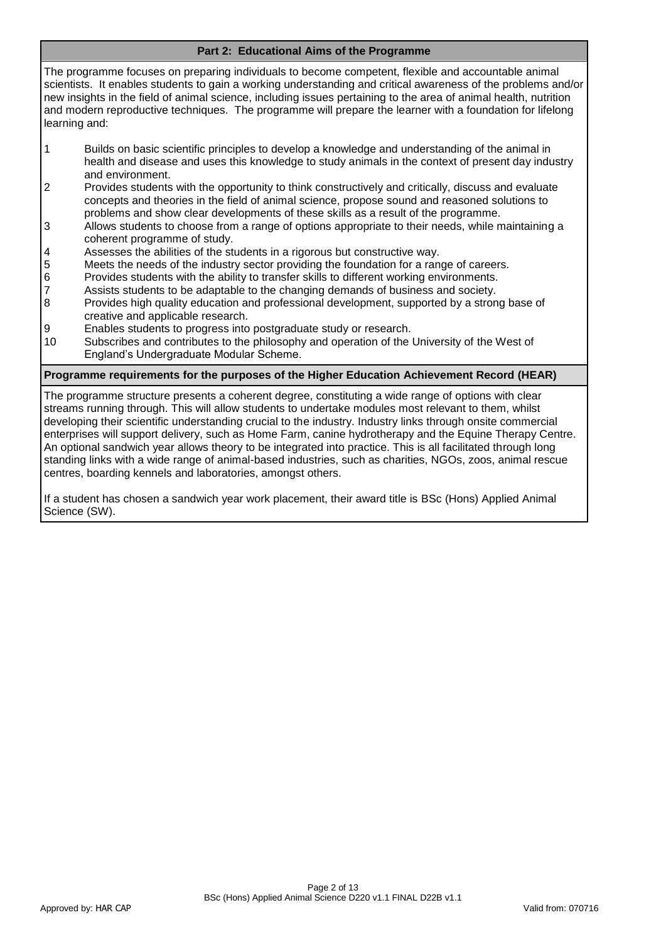# **Part 2: Educational Aims of the Programme**

The programme focuses on preparing individuals to become competent, flexible and accountable animal scientists. It enables students to gain a working understanding and critical awareness of the problems and/or new insights in the field of animal science, including issues pertaining to the area of animal health, nutrition and modern reproductive techniques. The programme will prepare the learner with a foundation for lifelong learning and:

- 1 Builds on basic scientific principles to develop a knowledge and understanding of the animal in health and disease and uses this knowledge to study animals in the context of present day industry and environment.
- 2 Provides students with the opportunity to think constructively and critically, discuss and evaluate concepts and theories in the field of animal science, propose sound and reasoned solutions to problems and show clear developments of these skills as a result of the programme.
- 3 Allows students to choose from a range of options appropriate to their needs, while maintaining a coherent programme of study.
- 4 Assesses the abilities of the students in a rigorous but constructive way.
- 5 Meets the needs of the industry sector providing the foundation for a range of careers.
- 6 Provides students with the ability to transfer skills to different working environments.
- 7 Assists students to be adaptable to the changing demands of business and society.<br>8 Provides high quality education and professional development, supported by a stron
- Provides high quality education and professional development, supported by a strong base of creative and applicable research.
- 9 Enables students to progress into postgraduate study or research.
- 10 Subscribes and contributes to the philosophy and operation of the University of the West of England's Undergraduate Modular Scheme.

#### **Programme requirements for the purposes of the Higher Education Achievement Record (HEAR)**

The programme structure presents a coherent degree, constituting a wide range of options with clear streams running through. This will allow students to undertake modules most relevant to them, whilst developing their scientific understanding crucial to the industry. Industry links through onsite commercial enterprises will support delivery, such as Home Farm, canine hydrotherapy and the Equine Therapy Centre. An optional sandwich year allows theory to be integrated into practice. This is all facilitated through long standing links with a wide range of animal-based industries, such as charities, NGOs, zoos, animal rescue centres, boarding kennels and laboratories, amongst others.

If a student has chosen a sandwich year work placement, their award title is BSc (Hons) Applied Animal Science (SW).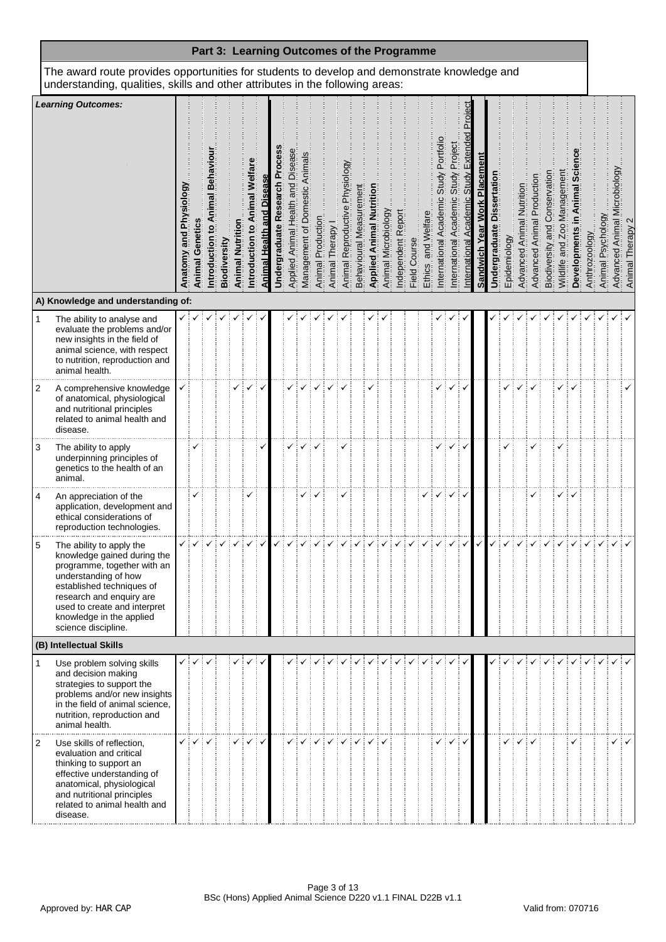| Part 3: Learning Outcomes of the Programme                                                                                                                                    |                                                                                                                                                                                                                                                            |                                                          |                        |                                |              |                        |                                 |                   |                                         |                                      |                                  |                   |                |                                                    |                        |                                 |                     |                   |              |                           |                                                            |                                           |                                    |                              |                                   |              |                           |                                   |                                  |                            |              |               |                   |                                 |                  |
|-------------------------------------------------------------------------------------------------------------------------------------------------------------------------------|------------------------------------------------------------------------------------------------------------------------------------------------------------------------------------------------------------------------------------------------------------|----------------------------------------------------------|------------------------|--------------------------------|--------------|------------------------|---------------------------------|-------------------|-----------------------------------------|--------------------------------------|----------------------------------|-------------------|----------------|----------------------------------------------------|------------------------|---------------------------------|---------------------|-------------------|--------------|---------------------------|------------------------------------------------------------|-------------------------------------------|------------------------------------|------------------------------|-----------------------------------|--------------|---------------------------|-----------------------------------|----------------------------------|----------------------------|--------------|---------------|-------------------|---------------------------------|------------------|
| The award route provides opportunities for students to develop and demonstrate knowledge and<br>understanding, qualities, skills and other attributes in the following areas: |                                                                                                                                                                                                                                                            |                                                          |                        |                                |              |                        |                                 |                   |                                         |                                      |                                  |                   |                |                                                    |                        |                                 |                     |                   |              |                           |                                                            |                                           |                                    |                              |                                   |              |                           |                                   |                                  |                            |              |               |                   |                                 |                  |
|                                                                                                                                                                               | <b>Learning Outcomes:</b>                                                                                                                                                                                                                                  | <u>Çõo</u><br><u>ō</u><br><b>Physi</b><br>and<br>Anatomy | <b>Animal Genetics</b> | $\mathbf{o}$<br>Introduction 1 | Biodiversity | <b>Animal Nutritio</b> | Animal Welfar<br>ntroduction to | Animal Health and | Proces<br><b>Jndergraduate Research</b> | Disease<br>Applied Animal Health and | Domestic Animal<br>Management of | Animal Production | Animal Therapy | <u>ලි</u><br><b>Physiol</b><br>Animal Reproductive | Behavioural Measuremen | <b>Applied Animal Nutrition</b> | Animal Microbiology | ndependent Report | Field Course | are<br>and Welf<br>Ethics | Portfoli<br>Study<br>$\overline{a}$<br>nternational Academ | Project<br>Study<br>nternational Academic | Extend<br>Academic<br>nternational | Sandwich Year Work Placement | <b>Undergraduate Dissertation</b> | Epidemiology | Advanced Animal Nutrition | <b>Advanced Animal Production</b> | Conservation<br>Biodiversity and | Wildlife and Zoo Managemen | Developments | Anthrozoology | Animal Psychology | crobiology<br>Advanced Animal M | Animal Therapy 2 |
| A) Knowledge and understanding of:                                                                                                                                            |                                                                                                                                                                                                                                                            |                                                          |                        |                                |              |                        |                                 |                   |                                         |                                      |                                  |                   |                |                                                    |                        |                                 |                     |                   |              |                           |                                                            |                                           |                                    |                              |                                   |              |                           |                                   |                                  |                            |              |               |                   |                                 |                  |
| $\mathbf{1}$                                                                                                                                                                  | The ability to analyse and<br>evaluate the problems and/or<br>new insights in the field of<br>animal science, with respect<br>to nutrition, reproduction and<br>animal health.                                                                             |                                                          |                        |                                |              |                        |                                 |                   |                                         |                                      |                                  |                   |                |                                                    |                        |                                 |                     |                   |              |                           |                                                            |                                           |                                    |                              |                                   |              |                           |                                   |                                  |                            |              |               |                   |                                 |                  |
| $\overline{c}$                                                                                                                                                                | A comprehensive knowledge<br>of anatomical, physiological<br>and nutritional principles<br>related to animal health and<br>disease.                                                                                                                        |                                                          |                        |                                |              | ✓                      | ✓                               | $\checkmark$      |                                         |                                      |                                  |                   |                |                                                    |                        |                                 |                     |                   |              |                           |                                                            | ✓                                         | $\checkmark$                       |                              |                                   |              |                           |                                   |                                  |                            |              |               |                   |                                 |                  |
| 3                                                                                                                                                                             | The ability to apply<br>underpinning principles of<br>genetics to the health of an<br>animal.                                                                                                                                                              |                                                          |                        |                                |              |                        |                                 |                   |                                         |                                      |                                  |                   |                |                                                    |                        |                                 |                     |                   |              |                           |                                                            |                                           | ✓                                  |                              |                                   |              |                           |                                   |                                  |                            |              |               |                   |                                 |                  |
| 4                                                                                                                                                                             | An appreciation of the<br>application, development and<br>ethical considerations of<br>reproduction technologies.                                                                                                                                          |                                                          | ✓                      |                                |              |                        | ✓                               |                   |                                         |                                      |                                  |                   |                |                                                    |                        |                                 |                     |                   |              |                           |                                                            | ✓                                         |                                    |                              |                                   |              |                           |                                   |                                  |                            |              |               |                   |                                 |                  |
| 5                                                                                                                                                                             | The ability to apply the<br>knowledge gained during the<br>programme, together with an<br>understanding of how<br>established techniques of<br>research and enquiry are<br>used to create and interpret<br>knowledge in the applied<br>science discipline. |                                                          |                        |                                |              |                        |                                 |                   |                                         |                                      |                                  |                   |                |                                                    |                        |                                 |                     |                   |              |                           |                                                            |                                           |                                    |                              |                                   |              |                           |                                   |                                  |                            |              |               |                   |                                 |                  |
|                                                                                                                                                                               | (B) Intellectual Skills                                                                                                                                                                                                                                    |                                                          |                        |                                |              |                        |                                 |                   |                                         |                                      |                                  |                   |                |                                                    |                        |                                 |                     |                   |              |                           |                                                            |                                           |                                    |                              |                                   |              |                           |                                   |                                  |                            |              |               |                   |                                 |                  |
| $\mathbf{1}$                                                                                                                                                                  | Use problem solving skills<br>and decision making<br>strategies to support the<br>problems and/or new insights<br>in the field of animal science,<br>nutrition, reproduction and<br>animal health.                                                         |                                                          |                        |                                |              |                        |                                 |                   |                                         |                                      |                                  |                   |                |                                                    |                        |                                 |                     |                   |              |                           |                                                            |                                           |                                    |                              |                                   |              |                           |                                   |                                  |                            |              |               |                   |                                 |                  |
| $\overline{2}$                                                                                                                                                                | Use skills of reflection,<br>evaluation and critical<br>thinking to support an<br>effective understanding of<br>anatomical, physiological<br>and nutritional principles<br>related to animal health and<br>disease.                                        |                                                          |                        |                                |              |                        |                                 | ∶√                |                                         |                                      |                                  |                   |                |                                                    |                        |                                 |                     |                   |              |                           |                                                            |                                           |                                    |                              |                                   |              |                           |                                   |                                  |                            |              |               |                   |                                 |                  |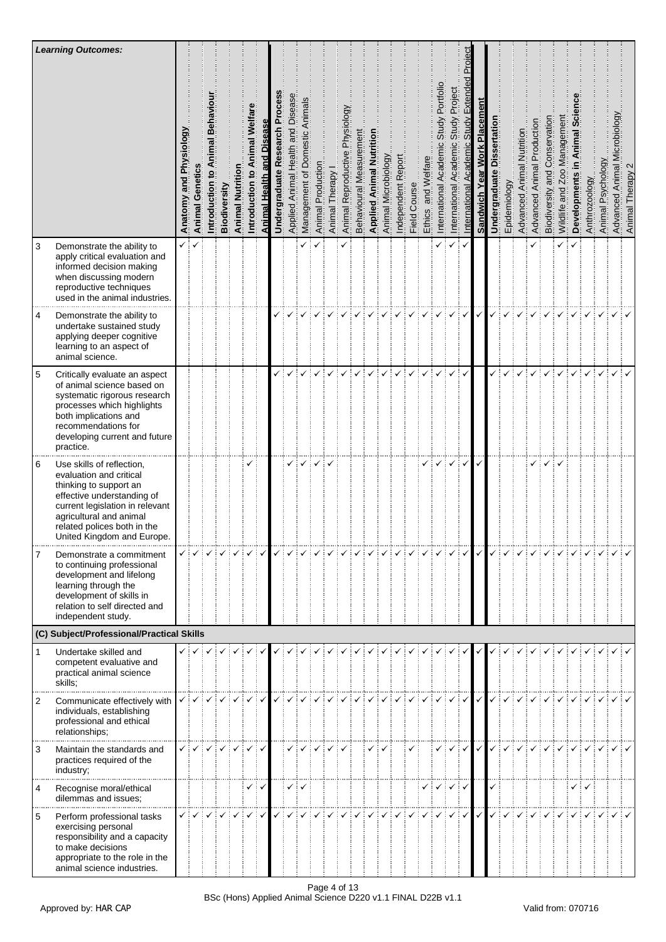|                | <b>Learning Outcomes:</b>                                                                                                                                                                                                               |                                         |                        |                                          |              |                 |                                    |                      |                                         |                                      |                                        |                   |                |                                   |                         |                                 |                     |                    |              |                             |                                                     |                                                     |                                    |                              |                               |              |                           |                            |                                  |                             |                                    |               |                   |                                   |                                     |
|----------------|-----------------------------------------------------------------------------------------------------------------------------------------------------------------------------------------------------------------------------------------|-----------------------------------------|------------------------|------------------------------------------|--------------|-----------------|------------------------------------|----------------------|-----------------------------------------|--------------------------------------|----------------------------------------|-------------------|----------------|-----------------------------------|-------------------------|---------------------------------|---------------------|--------------------|--------------|-----------------------------|-----------------------------------------------------|-----------------------------------------------------|------------------------------------|------------------------------|-------------------------------|--------------|---------------------------|----------------------------|----------------------------------|-----------------------------|------------------------------------|---------------|-------------------|-----------------------------------|-------------------------------------|
|                |                                                                                                                                                                                                                                         | §ŏ<br><u>ō</u><br>Phy<br>and<br>Anatomy | <b>Animal Genetics</b> | Behavi<br>$\overline{a}$<br>Introduction | Biodiversity | Animal Nutritio | mal Welfar<br>ξ<br>Introduction to | Animal Health and Di | Proces<br><b>Undergraduate Research</b> | Disease<br>Applied Animal Health and | estic Animals<br>of Dome<br>Management | Animal Production | Animal Therapy | Physiology<br>Animal Reproductive | Behavioural Measurement | <b>Applied Animal Nutrition</b> | Animal Microbiology | Independent Report | Field Course | ele.<br>and Welfa<br>Ethics | Portfolio<br>Study<br>International Academic        | Project<br>Study<br>nternational Academic           | Extend<br>Academic<br>nternational | Sandwich Year Work Placement | Dissertation<br>Undergraduate | Epidemiology | Advanced Animal Nutrition | Advanced Animal Production | Conservation<br>Biodiversity and | Wildlife and Zoo Management | <u>ပ</u> ြ<br>imal<br>Developments | Anthrozoology | Animal Psychology | icrobiology<br>Advanced Animal Mi | $\mathbf{\Omega}$<br>Animal Therapy |
| 3              | Demonstrate the ability to<br>apply critical evaluation and<br>informed decision making<br>when discussing modern<br>reproductive techniques<br>used in the animal industries.                                                          | ✓┊                                      |                        |                                          |              |                 |                                    |                      |                                         |                                      |                                        |                   |                |                                   |                         |                                 |                     |                    |              |                             | ✓                                                   | ✓                                                   | $\checkmark$                       |                              |                               |              |                           |                            |                                  | ✓                           | ✓                                  |               |                   |                                   |                                     |
| $\overline{4}$ | Demonstrate the ability to<br>undertake sustained study<br>applying deeper cognitive<br>learning to an aspect of<br>animal science.                                                                                                     |                                         |                        |                                          |              |                 |                                    |                      |                                         |                                      |                                        |                   |                |                                   |                         |                                 |                     |                    |              |                             |                                                     | ✓                                                   | ÷∡                                 | $\checkmark$                 |                               |              |                           |                            |                                  |                             |                                    |               |                   |                                   |                                     |
| $\sqrt{5}$     | Critically evaluate an aspect<br>of animal science based on<br>systematic rigorous research<br>processes which highlights<br>both implications and<br>recommendations for<br>developing current and future<br>practice.                 |                                         |                        |                                          |              |                 |                                    |                      |                                         |                                      |                                        |                   |                |                                   |                         |                                 |                     |                    |              |                             |                                                     |                                                     | ✓                                  |                              |                               |              |                           |                            |                                  |                             |                                    |               |                   |                                   |                                     |
| 6              | Use skills of reflection,<br>evaluation and critical<br>thinking to support an<br>effective understanding of<br>current legislation in relevant<br>agricultural and animal<br>related polices both in the<br>United Kingdom and Europe. |                                         |                        |                                          |              |                 | ✓                                  |                      |                                         |                                      |                                        |                   |                |                                   |                         |                                 |                     |                    |              |                             |                                                     |                                                     |                                    |                              |                               |              |                           |                            |                                  |                             |                                    |               |                   |                                   |                                     |
| 7              | Demonstrate a commitment<br>to continuing professional<br>development and lifelong<br>learning through the<br>development of skills in<br>relation to self directed and<br>independent study.                                           |                                         | ✓┊✓                    |                                          |              |                 | ∶√                                 |                      |                                         |                                      |                                        |                   |                |                                   |                         |                                 |                     |                    |              |                             |                                                     | $\checkmark$ $\checkmark$ $\checkmark$ $\checkmark$ |                                    | $\checkmark$                 | ✓                             |              |                           |                            |                                  |                             |                                    |               |                   |                                   |                                     |
|                | (C) Subject/Professional/Practical Skills                                                                                                                                                                                               |                                         |                        |                                          |              |                 |                                    |                      |                                         |                                      |                                        |                   |                |                                   |                         |                                 |                     |                    |              |                             |                                                     |                                                     |                                    |                              |                               |              |                           |                            |                                  |                             |                                    |               |                   |                                   |                                     |
| $\mathbf{1}$   | Undertake skilled and<br>competent evaluative and<br>practical animal science<br>skills;                                                                                                                                                |                                         | ✓┊✓┊✓┊✓                |                                          |              |                 | ✓                                  |                      |                                         |                                      |                                        |                   |                |                                   |                         |                                 |                     |                    |              |                             |                                                     |                                                     |                                    |                              |                               |              |                           |                            |                                  |                             |                                    |               |                   |                                   |                                     |
| $\overline{2}$ | Communicate effectively with<br>individuals, establishing<br>professional and ethical<br>relationships;                                                                                                                                 |                                         |                        |                                          |              |                 |                                    |                      |                                         |                                      |                                        |                   |                |                                   |                         |                                 |                     |                    |              |                             |                                                     |                                                     |                                    |                              |                               |              |                           |                            |                                  |                             |                                    |               |                   |                                   |                                     |
| 3              | Maintain the standards and<br>practices required of the<br>industry;                                                                                                                                                                    |                                         |                        |                                          |              |                 | ✓┊✓                                |                      |                                         |                                      |                                        |                   |                |                                   |                         |                                 |                     |                    |              |                             |                                                     |                                                     | $\checkmark$                       | $\checkmark$                 |                               |              |                           |                            |                                  |                             |                                    |               |                   |                                   |                                     |
| 4              | Recognise moral/ethical<br>dilemmas and issues;                                                                                                                                                                                         |                                         |                        |                                          |              |                 | ✓┊✓                                |                      |                                         | ✓┊                                   |                                        |                   |                |                                   |                         |                                 |                     |                    |              |                             | $\checkmark$ $\checkmark$ $\checkmark$ $\checkmark$ |                                                     |                                    |                              |                               |              |                           |                            |                                  |                             | ✓┊✓                                |               |                   |                                   |                                     |
| 5              | Perform professional tasks<br>exercising personal<br>responsibility and a capacity<br>to make decisions<br>appropriate to the role in the<br>animal science industries.                                                                 |                                         |                        |                                          |              |                 |                                    |                      |                                         |                                      |                                        |                   |                |                                   |                         |                                 |                     |                    |              |                             |                                                     | ✓┊✓                                                 |                                    | $\checkmark$                 |                               |              |                           |                            |                                  |                             |                                    |               |                   |                                   |                                     |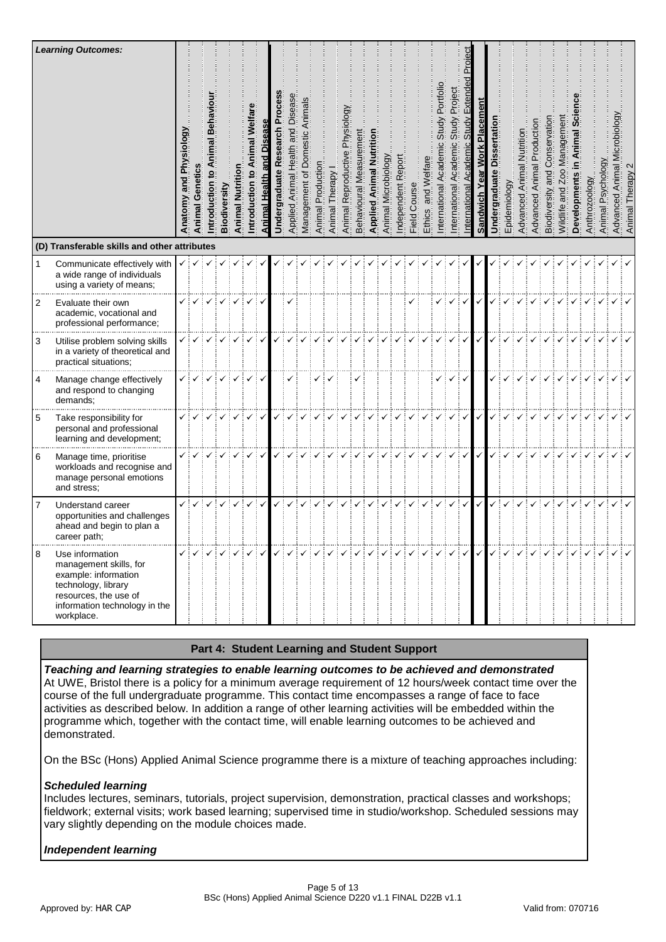|                | <b>Learning Outcomes:</b><br>(D) Transferable skills and other attributes                                                                                        | <b>Animal Genetics</b> | ntroduction                                                                                             | Biodiversity | <b>Animal Nutritio</b> | Animal Welfar<br>$\overline{6}$<br>ntroduction | Animal Health | ocess<br>ò<br>Research<br><b>Undergraduate</b> | Disease<br>Applied Animal Health and | Animals<br>of Domestic<br>Management                                                                                                                                                                              | Animal Production | Animal Therapy | Physiology<br>Animal Reproductive | Behavioural Measuremen | <b>Applied Animal Nutrition</b> | Animal Microbiology | Report<br>ndependent | Course<br>Field <sup>®</sup> | iare<br>and Welf<br><b>Ethics</b> | Portfolio<br>Study<br>$\overline{6}$<br>nternational Academ | Project<br>Study<br>Academic<br>nternational | cademi<br>nternational | Placemen<br><b>Work</b><br>Sandwich Year | <b>Dissertation</b><br>Undergraduate | Epidemiology | Advanced Animal Nutrition | <b>Animal Production</b><br>Advanced | Conservation<br>and<br>Biodiversity | Managemen<br>Wildlife and Zoo | ت<br>ھ<br>Developments | Anthrozoology | Psychology<br>Animal | crobiology<br>Advanced Animal M                                                                                                                                                                                                                                                                                                                                                                                                                                                                 | Therapy<br>Animal |
|----------------|------------------------------------------------------------------------------------------------------------------------------------------------------------------|------------------------|---------------------------------------------------------------------------------------------------------|--------------|------------------------|------------------------------------------------|---------------|------------------------------------------------|--------------------------------------|-------------------------------------------------------------------------------------------------------------------------------------------------------------------------------------------------------------------|-------------------|----------------|-----------------------------------|------------------------|---------------------------------|---------------------|----------------------|------------------------------|-----------------------------------|-------------------------------------------------------------|----------------------------------------------|------------------------|------------------------------------------|--------------------------------------|--------------|---------------------------|--------------------------------------|-------------------------------------|-------------------------------|------------------------|---------------|----------------------|-------------------------------------------------------------------------------------------------------------------------------------------------------------------------------------------------------------------------------------------------------------------------------------------------------------------------------------------------------------------------------------------------------------------------------------------------------------------------------------------------|-------------------|
| $\mathbf{1}$   | Communicate effectively with                                                                                                                                     | ✓┊✓                    | ! V                                                                                                     |              |                        |                                                |               |                                                |                                      |                                                                                                                                                                                                                   |                   |                |                                   |                        |                                 |                     |                      |                              |                                   |                                                             |                                              |                        |                                          |                                      |              |                           |                                      |                                     |                               |                        |               |                      |                                                                                                                                                                                                                                                                                                                                                                                                                                                                                                 |                   |
|                | a wide range of individuals<br>using a variety of means;                                                                                                         |                        |                                                                                                         |              |                        |                                                |               |                                                |                                      |                                                                                                                                                                                                                   |                   |                |                                   |                        |                                 |                     |                      |                              |                                   |                                                             |                                              |                        |                                          |                                      |              |                           |                                      |                                     |                               |                        |               |                      |                                                                                                                                                                                                                                                                                                                                                                                                                                                                                                 |                   |
| 2              | Evaluate their own<br>academic, vocational and<br>professional performance;                                                                                      | $\checkmark$           | $\checkmark$                                                                                            | ✓            |                        | ✓                                              |               |                                                |                                      |                                                                                                                                                                                                                   |                   |                |                                   |                        |                                 |                     |                      |                              |                                   | ✓                                                           | $\checkmark$                                 | ✓                      | $\checkmark$                             |                                      |              |                           |                                      |                                     |                               |                        |               |                      |                                                                                                                                                                                                                                                                                                                                                                                                                                                                                                 |                   |
| 3              | Utilise problem solving skills<br>in a variety of theoretical and<br>practical situations;                                                                       |                        |                                                                                                         |              |                        |                                                |               |                                                |                                      |                                                                                                                                                                                                                   |                   |                |                                   |                        |                                 |                     |                      |                              |                                   |                                                             |                                              | ÷√                     | $\checkmark$                             |                                      |              |                           |                                      |                                     |                               |                        |               |                      |                                                                                                                                                                                                                                                                                                                                                                                                                                                                                                 |                   |
| 4              | Manage change effectively<br>and respond to changing<br>demands;                                                                                                 |                        |                                                                                                         |              |                        |                                                | ✓┊✓           |                                                | ✓                                    |                                                                                                                                                                                                                   | ✓┆✓               |                |                                   |                        |                                 |                     |                      |                              |                                   |                                                             | $\checkmark$                                 | $\checkmark$           |                                          |                                      |              |                           |                                      |                                     |                               |                        |               |                      |                                                                                                                                                                                                                                                                                                                                                                                                                                                                                                 |                   |
| 5              | Take responsibility for<br>personal and professional<br>learning and development;                                                                                |                        |                                                                                                         |              |                        | $\checkmark$                                   |               |                                                |                                      |                                                                                                                                                                                                                   |                   |                |                                   |                        |                                 |                     |                      |                              |                                   |                                                             |                                              | $\checkmark$           | $\checkmark$                             |                                      |              |                           |                                      |                                     |                               |                        |               |                      |                                                                                                                                                                                                                                                                                                                                                                                                                                                                                                 |                   |
| 6              | Manage time, prioritise<br>workloads and recognise and<br>manage personal emotions<br>and stress;                                                                |                        |                                                                                                         |              |                        | ✓┊✓                                            |               |                                                |                                      |                                                                                                                                                                                                                   |                   |                |                                   |                        |                                 |                     |                      |                              |                                   |                                                             | $\checkmark$                                 | ÷✓                     | $\checkmark$                             |                                      |              |                           |                                      |                                     |                               |                        |               |                      |                                                                                                                                                                                                                                                                                                                                                                                                                                                                                                 |                   |
| $\overline{7}$ | Understand career<br>opportunities and challenges<br>ahead and begin to plan a<br>career path;                                                                   | ✓┆✓                    | $\checkmark$ :                                                                                          |              | $\checkmark$           |                                                | ✓┊✓           |                                                | ✓                                    |                                                                                                                                                                                                                   |                   |                |                                   |                        |                                 |                     |                      |                              | ✓                                 |                                                             | !√                                           | ∃✔                     | $\checkmark$                             | $\checkmark$                         |              |                           |                                      |                                     |                               |                        |               |                      |                                                                                                                                                                                                                                                                                                                                                                                                                                                                                                 |                   |
| 8              | Use information<br>management skills, for<br>example: information<br>technology, library<br>resources, the use of<br>information technology in the<br>workplace. |                        | $\checkmark$ $\checkmark$ $\checkmark$ $\checkmark$ $\checkmark$ $\checkmark$ $\checkmark$ $\checkmark$ |              |                        |                                                |               |                                                |                                      | $\small \left \times\right \times\left \times\right \times\left \times\right \times\left \times\right \times\left \times\right \times\left \times\right \times\left \times\right \times\left \times\right \times$ |                   |                |                                   |                        |                                 |                     |                      |                              |                                   |                                                             |                                              |                        |                                          |                                      |              |                           |                                      |                                     |                               |                        |               |                      | $\begin{array}{c} \begin{array}{c} \begin{array}{c} \mathbf{1} & \mathbf{1} \\ \mathbf{1} & \mathbf{1} \end{array} \end{array} \end{array} \begin{array}{c} \begin{array}{c} \mathbf{1} & \mathbf{1} \\ \mathbf{1} & \mathbf{1} \end{array} \end{array} \begin{array}{c} \mathbf{1} & \mathbf{1} \\ \mathbf{1} & \mathbf{1} \end{array} \end{array} \begin{array}{c} \begin{array}{c} \mathbf{1} & \mathbf{1} \\ \mathbf{1} & \mathbf{1} \end{array} \end{array} \begin{array}{c} \begin{array$ |                   |

# **Part 4: Student Learning and Student Support**

*Teaching and learning strategies to enable learning outcomes to be achieved and demonstrated* At UWE, Bristol there is a policy for a minimum average requirement of 12 hours/week contact time over the course of the full undergraduate programme. This contact time encompasses a range of face to face activities as described below. In addition a range of other learning activities will be embedded within the programme which, together with the contact time, will enable learning outcomes to be achieved and demonstrated.

On the BSc (Hons) Applied Animal Science programme there is a mixture of teaching approaches including:

# *Scheduled learning*

Includes lectures, seminars, tutorials, project supervision, demonstration, practical classes and workshops; fieldwork; external visits; work based learning; supervised time in studio/workshop. Scheduled sessions may vary slightly depending on the module choices made.

# *Independent learning*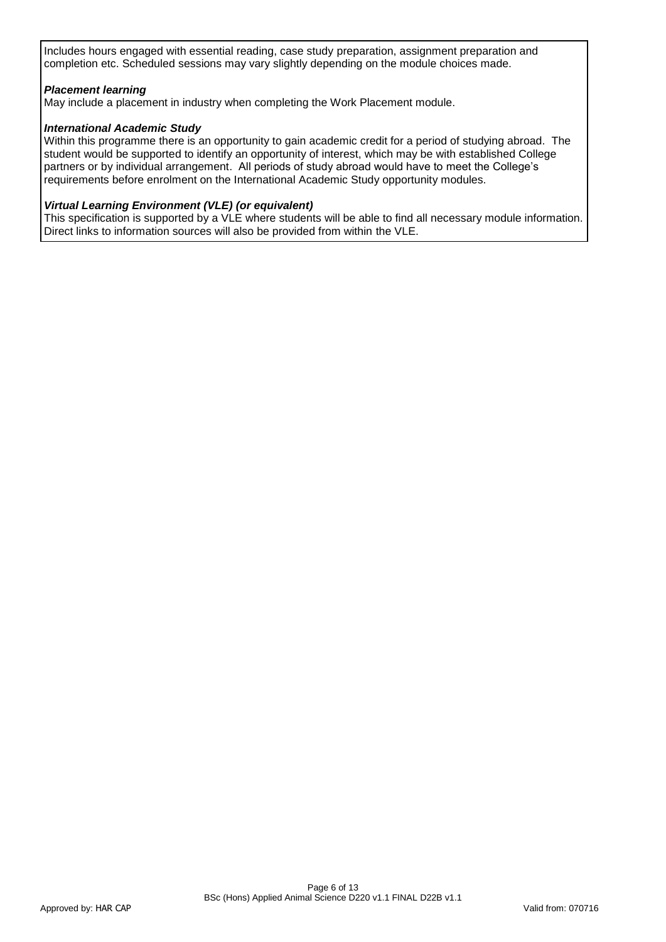Includes hours engaged with essential reading, case study preparation, assignment preparation and completion etc. Scheduled sessions may vary slightly depending on the module choices made.

# *Placement learning*

May include a placement in industry when completing the Work Placement module.

# *International Academic Study*

Within this programme there is an opportunity to gain academic credit for a period of studying abroad. The student would be supported to identify an opportunity of interest, which may be with established College partners or by individual arrangement. All periods of study abroad would have to meet the College's requirements before enrolment on the International Academic Study opportunity modules.

# *Virtual Learning Environment (VLE) (or equivalent)*

This specification is supported by a VLE where students will be able to find all necessary module information. Direct links to information sources will also be provided from within the VLE.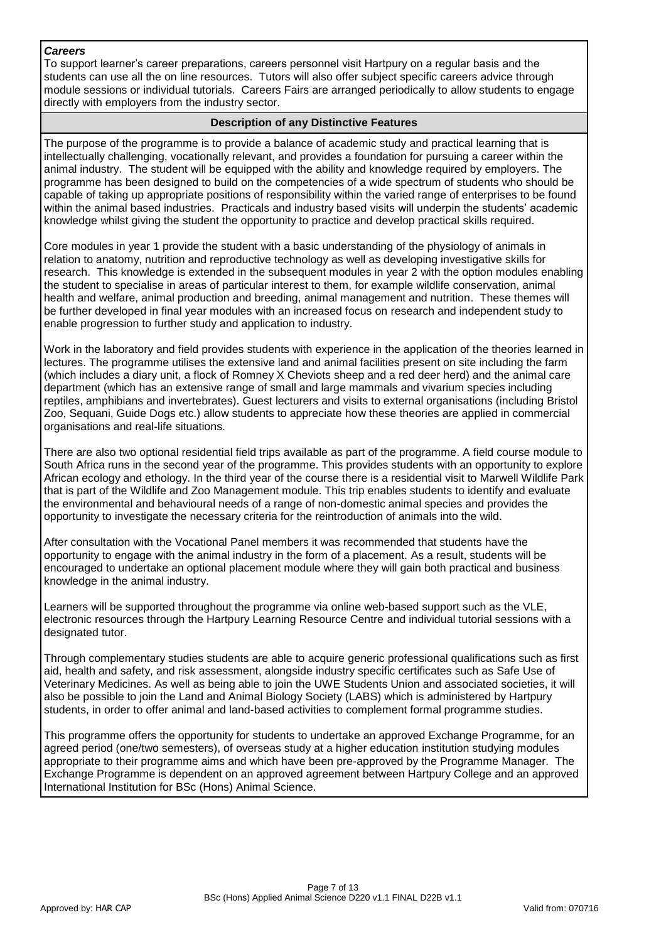# *Careers*

To support learner's career preparations, careers personnel visit Hartpury on a regular basis and the students can use all the on line resources. Tutors will also offer subject specific careers advice through module sessions or individual tutorials. Careers Fairs are arranged periodically to allow students to engage directly with employers from the industry sector.

# **Description of any Distinctive Features**

The purpose of the programme is to provide a balance of academic study and practical learning that is intellectually challenging, vocationally relevant, and provides a foundation for pursuing a career within the animal industry. The student will be equipped with the ability and knowledge required by employers. The programme has been designed to build on the competencies of a wide spectrum of students who should be capable of taking up appropriate positions of responsibility within the varied range of enterprises to be found within the animal based industries. Practicals and industry based visits will underpin the students' academic knowledge whilst giving the student the opportunity to practice and develop practical skills required.

Core modules in year 1 provide the student with a basic understanding of the physiology of animals in relation to anatomy, nutrition and reproductive technology as well as developing investigative skills for research. This knowledge is extended in the subsequent modules in year 2 with the option modules enabling the student to specialise in areas of particular interest to them, for example wildlife conservation, animal health and welfare, animal production and breeding, animal management and nutrition. These themes will be further developed in final year modules with an increased focus on research and independent study to enable progression to further study and application to industry.

Work in the laboratory and field provides students with experience in the application of the theories learned in lectures. The programme utilises the extensive land and animal facilities present on site including the farm (which includes a diary unit, a flock of Romney X Cheviots sheep and a red deer herd) and the animal care department (which has an extensive range of small and large mammals and vivarium species including reptiles, amphibians and invertebrates). Guest lecturers and visits to external organisations (including Bristol Zoo, Sequani, Guide Dogs etc.) allow students to appreciate how these theories are applied in commercial organisations and real-life situations.

There are also two optional residential field trips available as part of the programme. A field course module to South Africa runs in the second year of the programme. This provides students with an opportunity to explore African ecology and ethology. In the third year of the course there is a residential visit to Marwell Wildlife Park that is part of the Wildlife and Zoo Management module. This trip enables students to identify and evaluate the environmental and behavioural needs of a range of non-domestic animal species and provides the opportunity to investigate the necessary criteria for the reintroduction of animals into the wild.

After consultation with the Vocational Panel members it was recommended that students have the opportunity to engage with the animal industry in the form of a placement. As a result, students will be encouraged to undertake an optional placement module where they will gain both practical and business knowledge in the animal industry.

Learners will be supported throughout the programme via online web-based support such as the VLE, electronic resources through the Hartpury Learning Resource Centre and individual tutorial sessions with a designated tutor.

Through complementary studies students are able to acquire generic professional qualifications such as first aid, health and safety, and risk assessment, alongside industry specific certificates such as Safe Use of Veterinary Medicines. As well as being able to join the UWE Students Union and associated societies, it will also be possible to join the Land and Animal Biology Society (LABS) which is administered by Hartpury students, in order to offer animal and land-based activities to complement formal programme studies.

This programme offers the opportunity for students to undertake an approved Exchange Programme, for an agreed period (one/two semesters), of overseas study at a higher education institution studying modules appropriate to their programme aims and which have been pre-approved by the Programme Manager. The Exchange Programme is dependent on an approved agreement between Hartpury College and an approved International Institution for BSc (Hons) Animal Science.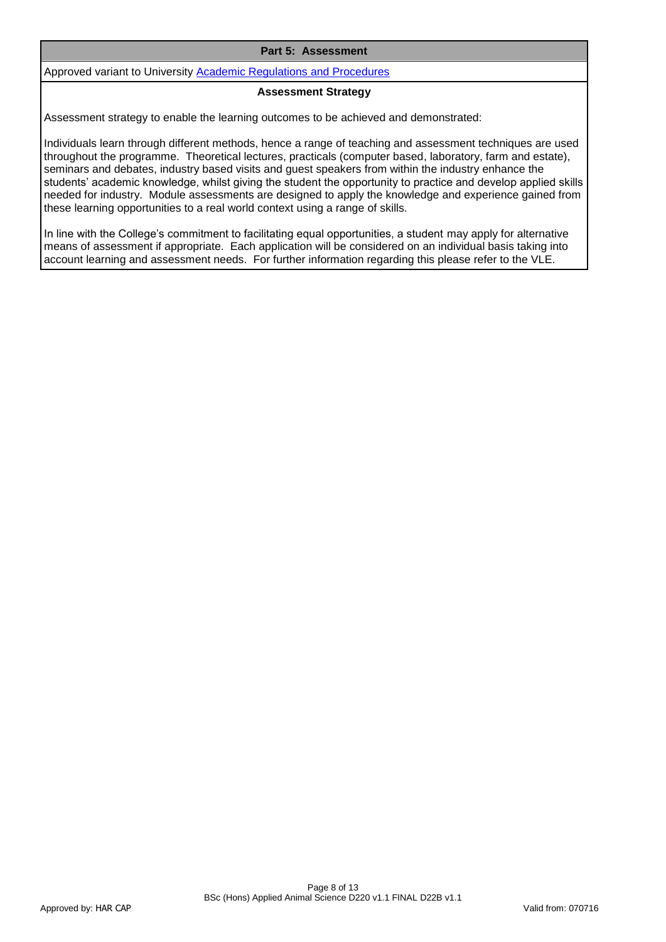#### **Part 5: Assessment**

Approved variant to University [Academic Regulations and Procedures](http://www1.uwe.ac.uk/students/academicadvice/assessments/regulationsandprocedures.aspx)

#### **Assessment Strategy**

Assessment strategy to enable the learning outcomes to be achieved and demonstrated:

Individuals learn through different methods, hence a range of teaching and assessment techniques are used throughout the programme. Theoretical lectures, practicals (computer based, laboratory, farm and estate), seminars and debates, industry based visits and guest speakers from within the industry enhance the students' academic knowledge, whilst giving the student the opportunity to practice and develop applied skills needed for industry. Module assessments are designed to apply the knowledge and experience gained from these learning opportunities to a real world context using a range of skills.

In line with the College's commitment to facilitating equal opportunities, a student may apply for alternative means of assessment if appropriate. Each application will be considered on an individual basis taking into account learning and assessment needs. For further information regarding this please refer to the VLE.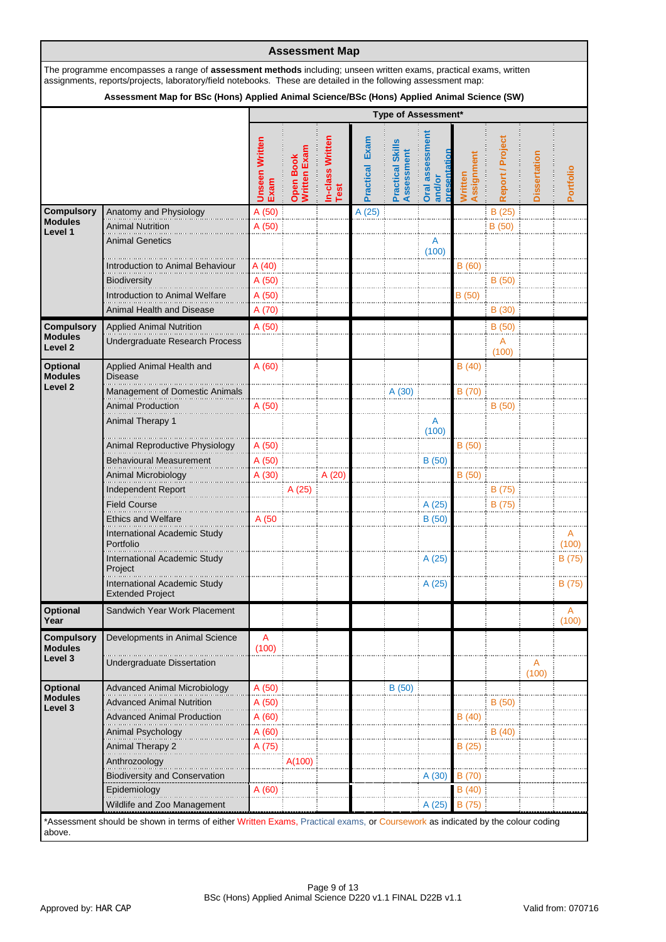|                                                |                                                                                                                                                                                                                                     |                               | <b>Assessment Map</b>     |                                 |                          |                                                |                           |                              |                  |                     |            |
|------------------------------------------------|-------------------------------------------------------------------------------------------------------------------------------------------------------------------------------------------------------------------------------------|-------------------------------|---------------------------|---------------------------------|--------------------------|------------------------------------------------|---------------------------|------------------------------|------------------|---------------------|------------|
|                                                | The programme encompasses a range of assessment methods including; unseen written exams, practical exams, written<br>assignments, reports/projects, laboratory/field notebooks. These are detailed in the following assessment map: |                               |                           |                                 |                          |                                                |                           |                              |                  |                     |            |
|                                                | Assessment Map for BSc (Hons) Applied Animal Science/BSc (Hons) Applied Animal Science (SW)                                                                                                                                         |                               |                           |                                 |                          |                                                |                           |                              |                  |                     |            |
|                                                |                                                                                                                                                                                                                                     |                               |                           |                                 |                          | Type of Assessment*                            |                           |                              |                  |                     |            |
|                                                |                                                                                                                                                                                                                                     | <b>Unseen Written</b><br>Exam | Open Book<br>Written Exan | <b>In-class Written</b><br>Test | Exam<br><b>Practical</b> | <b>Skill</b><br>Assessment<br><b>Practical</b> | Oral assessment<br>and/or | Assignment<br><b>Nritter</b> | Report / Project | <b>Dissertation</b> | Portfolio  |
| <b>Compulsory</b>                              | Anatomy and Physiology                                                                                                                                                                                                              | A (50)                        |                           |                                 | A (25)                   |                                                |                           |                              | B(25)            |                     |            |
| <b>Modules</b><br>Level 1                      | <b>Animal Nutrition</b>                                                                                                                                                                                                             | A(50)                         |                           |                                 |                          |                                                |                           |                              | B (50)           |                     |            |
|                                                | <b>Animal Genetics</b>                                                                                                                                                                                                              |                               |                           |                                 |                          |                                                | A<br>(100)                |                              |                  |                     |            |
|                                                | Introduction to Animal Behaviour<br>Biodiversity                                                                                                                                                                                    | A (40)<br>A (50)              |                           |                                 |                          |                                                |                           | B (60)                       | B(50)            |                     |            |
|                                                | Introduction to Animal Welfare                                                                                                                                                                                                      | A (50)                        |                           |                                 |                          |                                                |                           | B(50)                        |                  |                     |            |
|                                                | Animal Health and Disease                                                                                                                                                                                                           | A (70)                        |                           |                                 |                          |                                                |                           |                              | B(30)            |                     |            |
|                                                |                                                                                                                                                                                                                                     |                               |                           |                                 |                          |                                                |                           |                              |                  |                     |            |
| <b>Compulsory</b><br><b>Modules</b><br>Level 2 | <b>Applied Animal Nutrition</b><br>Undergraduate Research Process                                                                                                                                                                   | A (50)                        |                           |                                 |                          |                                                |                           |                              | B(50)<br>A       |                     |            |
| <b>Optional</b><br><b>Modules</b>              | Applied Animal Health and<br><b>Disease</b>                                                                                                                                                                                         | A(60)                         |                           |                                 |                          |                                                |                           | B(40)                        | (100)            |                     |            |
| Level <sub>2</sub>                             | <b>Management of Domestic Animals</b>                                                                                                                                                                                               |                               |                           |                                 |                          | A (30)                                         |                           | B (70)                       |                  |                     |            |
|                                                | <b>Animal Production</b>                                                                                                                                                                                                            | A (50)                        |                           |                                 |                          |                                                |                           |                              | B(50)            |                     |            |
|                                                | Animal Therapy 1                                                                                                                                                                                                                    |                               |                           |                                 |                          |                                                | A<br>(100)                |                              |                  |                     |            |
|                                                | Animal Reproductive Physiology                                                                                                                                                                                                      | A (50)                        |                           |                                 |                          |                                                |                           | B (50)                       |                  |                     |            |
|                                                | <b>Behavioural Measurement</b>                                                                                                                                                                                                      | A (50)                        |                           |                                 |                          |                                                | B(50)                     |                              |                  |                     |            |
|                                                | Animal Microbiology                                                                                                                                                                                                                 | A (30)                        |                           | A (20)                          |                          |                                                |                           | B (50)                       |                  |                     |            |
|                                                | Independent Report                                                                                                                                                                                                                  |                               | A (25)                    |                                 |                          |                                                |                           |                              | B (75)           |                     |            |
|                                                | <b>Field Course</b>                                                                                                                                                                                                                 |                               |                           |                                 |                          |                                                | A (25)                    |                              | B (75)           |                     |            |
|                                                | <b>Ethics and Welfare</b>                                                                                                                                                                                                           | A (50                         |                           |                                 |                          |                                                | B(50)                     |                              |                  |                     |            |
|                                                | International Academic Study<br>Portfolio                                                                                                                                                                                           |                               |                           |                                 |                          |                                                |                           |                              |                  |                     | Α<br>(100) |
|                                                | International Academic Study<br>Project                                                                                                                                                                                             |                               |                           |                                 |                          |                                                | A (25)                    |                              |                  |                     | B (75)     |
|                                                | <b>International Academic Study</b><br><b>Extended Project</b>                                                                                                                                                                      |                               |                           |                                 |                          |                                                | A(25)                     |                              |                  |                     | B (75)     |
| <b>Optional</b><br>Year                        | Sandwich Year Work Placement                                                                                                                                                                                                        |                               |                           |                                 |                          |                                                |                           |                              |                  |                     | A<br>(100) |
| <b>Compulsory</b><br><b>Modules</b>            | Developments in Animal Science                                                                                                                                                                                                      | A<br>(100)                    |                           |                                 |                          |                                                |                           |                              |                  |                     |            |
| Level 3                                        | <b>Undergraduate Dissertation</b>                                                                                                                                                                                                   |                               |                           |                                 |                          |                                                |                           |                              |                  | A<br>(100)          |            |
| <b>Optional</b>                                | <b>Advanced Animal Microbiology</b>                                                                                                                                                                                                 | A (50)                        |                           |                                 |                          | B(50)                                          |                           |                              |                  |                     |            |
| <b>Modules</b><br>Level 3                      | <b>Advanced Animal Nutrition</b>                                                                                                                                                                                                    | A(50)                         |                           |                                 |                          |                                                |                           |                              | B (50)           |                     |            |
|                                                | <b>Advanced Animal Production</b>                                                                                                                                                                                                   | A (60)                        |                           |                                 |                          |                                                |                           | B(40)                        |                  |                     |            |
|                                                | Animal Psychology                                                                                                                                                                                                                   | A(60)                         |                           |                                 |                          |                                                |                           |                              | B(40)            |                     |            |
|                                                | Animal Therapy 2                                                                                                                                                                                                                    | A (75)                        |                           |                                 |                          |                                                |                           | B(25)                        |                  |                     |            |
|                                                | Anthrozoology                                                                                                                                                                                                                       |                               | A(100)                    |                                 |                          |                                                |                           |                              |                  |                     |            |
|                                                | <b>Biodiversity and Conservation</b>                                                                                                                                                                                                |                               |                           |                                 |                          |                                                | A(30)                     | B (70)                       |                  |                     |            |
|                                                | Epidemiology                                                                                                                                                                                                                        | A (60)                        |                           |                                 |                          |                                                |                           | B(40)                        |                  |                     |            |
|                                                | Wildlife and Zoo Management                                                                                                                                                                                                         |                               |                           |                                 |                          |                                                | A(25)                     | B (75)                       |                  |                     |            |
| above.                                         | *Assessment should be shown in terms of either Written Exams, Practical exams, or Coursework as indicated by the colour coding                                                                                                      |                               |                           |                                 |                          |                                                |                           |                              |                  |                     |            |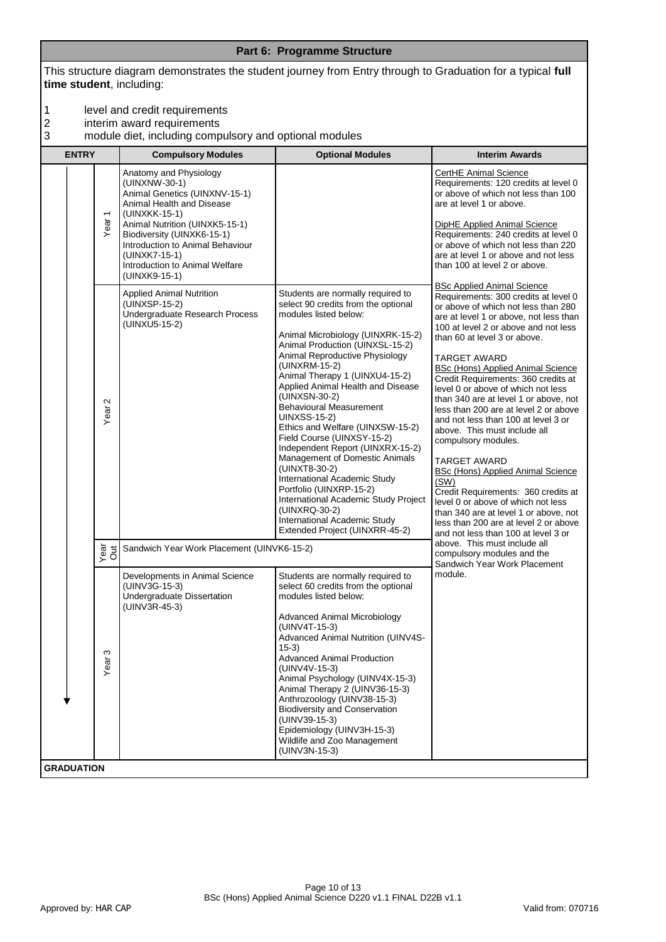This structure diagram demonstrates the student journey from Entry through to Graduation for a typical **full time student**, including:

- 1 level and credit requirements<br>
2 interim award requirements<br>
3 module diet, including compu
- interim award requirements
- 3 module diet, including compulsory and optional modules

| <b>ENTRY</b>      |                   | <b>Compulsory Modules</b>                                                                                                                                                                                                                                                                      | <b>Optional Modules</b>                                                                                                                                                                                                                                                                                                                                                                                                                                                                                                                                                                                                                                                                                                      | <b>Interim Awards</b>                                                                                                                                                                                                                                                                                                                                                                                                                                                                                                                                                                                                                                                                                                                                                                                                                               |
|-------------------|-------------------|------------------------------------------------------------------------------------------------------------------------------------------------------------------------------------------------------------------------------------------------------------------------------------------------|------------------------------------------------------------------------------------------------------------------------------------------------------------------------------------------------------------------------------------------------------------------------------------------------------------------------------------------------------------------------------------------------------------------------------------------------------------------------------------------------------------------------------------------------------------------------------------------------------------------------------------------------------------------------------------------------------------------------------|-----------------------------------------------------------------------------------------------------------------------------------------------------------------------------------------------------------------------------------------------------------------------------------------------------------------------------------------------------------------------------------------------------------------------------------------------------------------------------------------------------------------------------------------------------------------------------------------------------------------------------------------------------------------------------------------------------------------------------------------------------------------------------------------------------------------------------------------------------|
|                   | Year <sub>1</sub> | Anatomy and Physiology<br>(UINXNW-30-1)<br>Animal Genetics (UINXNV-15-1)<br>Animal Health and Disease<br>(UINXKK-15-1)<br>Animal Nutrition (UINXK5-15-1)<br>Biodiversity (UINXK6-15-1)<br>Introduction to Animal Behaviour<br>(UINXK7-15-1)<br>Introduction to Animal Welfare<br>(UINXK9-15-1) |                                                                                                                                                                                                                                                                                                                                                                                                                                                                                                                                                                                                                                                                                                                              | CertHE Animal Science<br>Requirements: 120 credits at level 0<br>or above of which not less than 100<br>are at level 1 or above.<br><b>DipHE Applied Animal Science</b><br>Requirements: 240 credits at level 0<br>or above of which not less than 220<br>are at level 1 or above and not less<br>than 100 at level 2 or above.                                                                                                                                                                                                                                                                                                                                                                                                                                                                                                                     |
|                   | Ν<br>Year         | <b>Applied Animal Nutrition</b><br>(UINXSP-15-2)<br>Undergraduate Research Process<br>(UINXU5-15-2)                                                                                                                                                                                            | Students are normally required to<br>select 90 credits from the optional<br>modules listed below:<br>Animal Microbiology (UINXRK-15-2)<br>Animal Production (UINXSL-15-2)<br>Animal Reproductive Physiology<br>(UINXRM-15-2)<br>Animal Therapy 1 (UINXU4-15-2)<br>Applied Animal Health and Disease<br>(UINXSN-30-2)<br><b>Behavioural Measurement</b><br><b>UINXSS-15-2)</b><br>Ethics and Welfare (UINXSW-15-2)<br>Field Course (UINXSY-15-2)<br>Independent Report (UINXRX-15-2)<br>Management of Domestic Animals<br>(UINXT8-30-2)<br>International Academic Study<br>Portfolio (UINXRP-15-2)<br>International Academic Study Project<br>(UINXRQ-30-2)<br>International Academic Study<br>Extended Project (UINXRR-45-2) | <b>BSc Applied Animal Science</b><br>Requirements: 300 credits at level 0<br>or above of which not less than 280<br>are at level 1 or above, not less than<br>100 at level 2 or above and not less<br>than 60 at level 3 or above.<br><b>TARGET AWARD</b><br><b>BSc (Hons) Applied Animal Science</b><br>Credit Requirements: 360 credits at<br>level 0 or above of which not less<br>than 340 are at level 1 or above, not<br>less than 200 are at level 2 or above<br>and not less than 100 at level 3 or<br>above. This must include all<br>compulsory modules.<br><b>TARGET AWARD</b><br><b>BSc (Hons) Applied Animal Science</b><br>(SW)<br>Credit Requirements: 360 credits at<br>level 0 or above of which not less<br>than 340 are at level 1 or above, not<br>less than 200 are at level 2 or above<br>and not less than 100 at level 3 or |
|                   | vea<br>Out        | Sandwich Year Work Placement (UINVK6-15-2)                                                                                                                                                                                                                                                     |                                                                                                                                                                                                                                                                                                                                                                                                                                                                                                                                                                                                                                                                                                                              | above. This must include all<br>compulsory modules and the<br>Sandwich Year Work Placement                                                                                                                                                                                                                                                                                                                                                                                                                                                                                                                                                                                                                                                                                                                                                          |
|                   | ω<br>Year         | Developments in Animal Science<br>(UINV3G-15-3)<br>Undergraduate Dissertation<br>(UINV3R-45-3)                                                                                                                                                                                                 | Students are normally required to<br>select 60 credits from the optional<br>modules listed below:<br><b>Advanced Animal Microbiology</b><br>(UINV4T-15-3)<br>Advanced Animal Nutrition (UINV4S-<br>$15 - 3)$<br><b>Advanced Animal Production</b><br>(UINV4V-15-3)<br>Animal Psychology (UINV4X-15-3)<br>Animal Therapy 2 (UINV36-15-3)<br>Anthrozoology (UINV38-15-3)<br><b>Biodiversity and Conservation</b><br>(UINV39-15-3)<br>Epidemiology (UINV3H-15-3)<br>Wildlife and Zoo Management<br>(UINV3N-15-3)                                                                                                                                                                                                                | module.                                                                                                                                                                                                                                                                                                                                                                                                                                                                                                                                                                                                                                                                                                                                                                                                                                             |
| <b>GRADUATION</b> |                   |                                                                                                                                                                                                                                                                                                |                                                                                                                                                                                                                                                                                                                                                                                                                                                                                                                                                                                                                                                                                                                              |                                                                                                                                                                                                                                                                                                                                                                                                                                                                                                                                                                                                                                                                                                                                                                                                                                                     |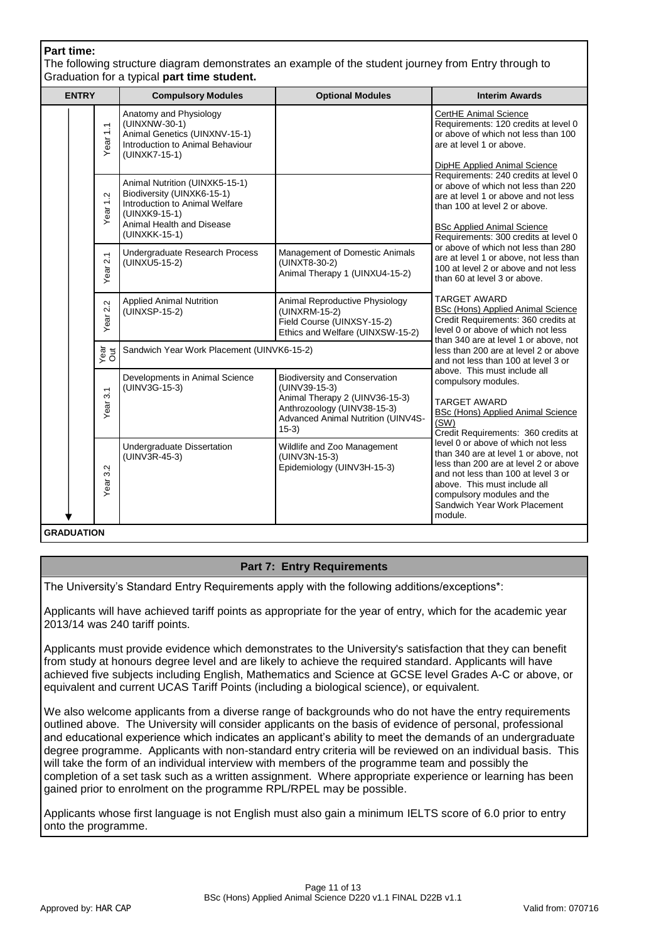# **Part time:**

The following structure diagram demonstrates an example of the student journey from Entry through to Graduation for a typical **part time student.**

| <b>ENTRY</b>      |                     | <b>Compulsory Modules</b>                                                                                                                                     | <b>Optional Modules</b>                                                                                                                                                 | <b>Interim Awards</b>                                                                                                                                                                                                                                                |
|-------------------|---------------------|---------------------------------------------------------------------------------------------------------------------------------------------------------------|-------------------------------------------------------------------------------------------------------------------------------------------------------------------------|----------------------------------------------------------------------------------------------------------------------------------------------------------------------------------------------------------------------------------------------------------------------|
|                   | Year <sub>1.1</sub> | Anatomy and Physiology<br>(UINXNW-30-1)<br>Animal Genetics (UINXNV-15-1)<br>Introduction to Animal Behaviour<br>(UINXK7-15-1)                                 |                                                                                                                                                                         | CertHE Animal Science<br>Requirements: 120 credits at level 0<br>or above of which not less than 100<br>are at level 1 or above.<br>DipHE Applied Animal Science                                                                                                     |
|                   | Year <sub>1.2</sub> | Animal Nutrition (UINXK5-15-1)<br>Biodiversity (UINXK6-15-1)<br>Introduction to Animal Welfare<br>(UINXK9-15-1)<br>Animal Health and Disease<br>(UINXKK-15-1) |                                                                                                                                                                         | Requirements: 240 credits at level 0<br>or above of which not less than 220<br>are at level 1 or above and not less<br>than 100 at level 2 or above.<br><b>BSc Applied Animal Science</b><br>Requirements: 300 credits at level 0                                    |
|                   | Year 2.1            | Undergraduate Research Process<br>(UINXU5-15-2)                                                                                                               | Management of Domestic Animals<br>(UINXT8-30-2)<br>Animal Therapy 1 (UINXU4-15-2)                                                                                       | or above of which not less than 280<br>are at level 1 or above, not less than<br>100 at level 2 or above and not less<br>than 60 at level 3 or above.                                                                                                                |
|                   | Year 2.2            | <b>Applied Animal Nutrition</b><br>(UINXSP-15-2)                                                                                                              | Animal Reproductive Physiology<br>(UINXRM-15-2)<br>Field Course (UINXSY-15-2)<br>Ethics and Welfare (UINXSW-15-2)                                                       | <b>TARGET AWARD</b><br>BSc (Hons) Applied Animal Science<br>Credit Requirements: 360 credits at<br>level 0 or above of which not less<br>than 340 are at level 1 or above, not                                                                                       |
|                   | Year<br>Out         | Sandwich Year Work Placement (UINVK6-15-2)                                                                                                                    |                                                                                                                                                                         | less than 200 are at level 2 or above<br>and not less than 100 at level 3 or                                                                                                                                                                                         |
|                   | 3.1<br>Year         | Developments in Animal Science<br>(UINV3G-15-3)                                                                                                               | <b>Biodiversity and Conservation</b><br>(UINV39-15-3)<br>Animal Therapy 2 (UINV36-15-3)<br>Anthrozoology (UINV38-15-3)<br>Advanced Animal Nutrition (UINV4S-<br>$15-3)$ | above. This must include all<br>compulsory modules.<br><b>TARGET AWARD</b><br>BSc (Hons) Applied Animal Science<br>(SW)<br>Credit Requirements: 360 credits at                                                                                                       |
|                   | $\sim$<br>က<br>Year | Undergraduate Dissertation<br>(UINV3R-45-3)                                                                                                                   | Wildlife and Zoo Management<br>(UINV3N-15-3)<br>Epidemiology (UINV3H-15-3)                                                                                              | level 0 or above of which not less<br>than 340 are at level 1 or above, not<br>less than 200 are at level 2 or above<br>and not less than 100 at level 3 or<br>above. This must include all<br>compulsory modules and the<br>Sandwich Year Work Placement<br>module. |
| <b>GRADUATION</b> |                     |                                                                                                                                                               |                                                                                                                                                                         |                                                                                                                                                                                                                                                                      |

# **Part 7: Entry Requirements**

The University's Standard Entry Requirements apply with the following additions/exceptions\*:

Applicants will have achieved tariff points as appropriate for the year of entry, which for the academic year 2013/14 was 240 tariff points.

Applicants must provide evidence which demonstrates to the University's satisfaction that they can benefit from study at honours degree level and are likely to achieve the required standard. Applicants will have achieved five subjects including English, Mathematics and Science at GCSE level Grades A-C or above, or equivalent and current UCAS Tariff Points (including a biological science), or equivalent.

We also welcome applicants from a diverse range of backgrounds who do not have the entry requirements outlined above. The University will consider applicants on the basis of evidence of personal, professional and educational experience which indicates an applicant's ability to meet the demands of an undergraduate degree programme. Applicants with non-standard entry criteria will be reviewed on an individual basis. This will take the form of an individual interview with members of the programme team and possibly the completion of a set task such as a written assignment. Where appropriate experience or learning has been gained prior to enrolment on the programme RPL/RPEL may be possible.

Applicants whose first language is not English must also gain a minimum IELTS score of 6.0 prior to entry onto the programme.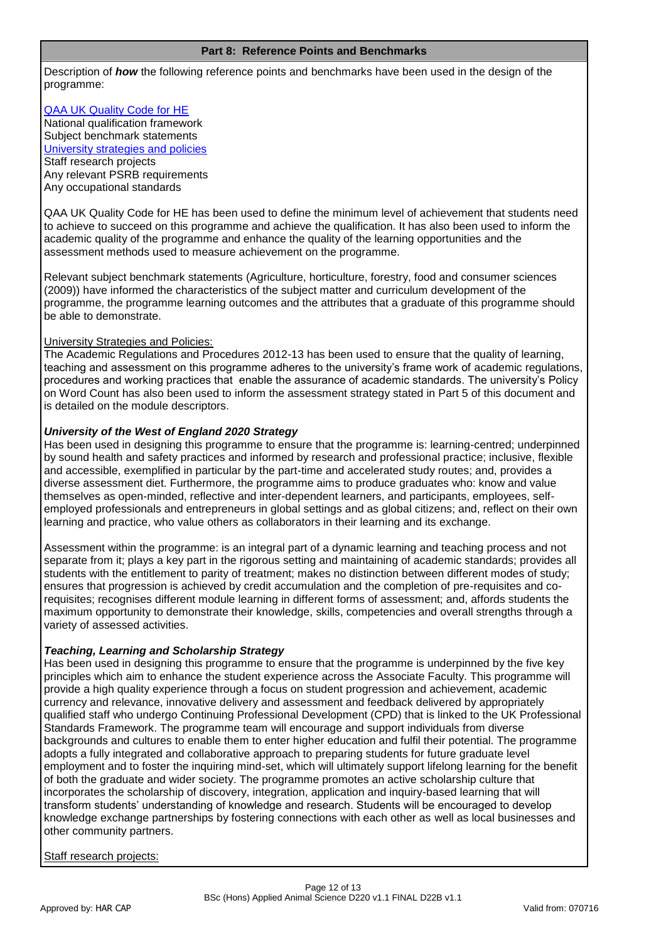#### **Part 8: Reference Points and Benchmarks**

Description of *how* the following reference points and benchmarks have been used in the design of the programme:

# [QAA UK Quality Code for HE](http://www.qaa.ac.uk/assuringstandardsandquality/quality-code/Pages/default.aspx)

National qualification framework Subject benchmark statements [University strategies and policies](http://www1.uwe.ac.uk/aboutus/policies) Staff research projects Any relevant PSRB requirements Any occupational standards

QAA UK Quality Code for HE has been used to define the minimum level of achievement that students need to achieve to succeed on this programme and achieve the qualification. It has also been used to inform the academic quality of the programme and enhance the quality of the learning opportunities and the assessment methods used to measure achievement on the programme.

Relevant subject benchmark statements (Agriculture, horticulture, forestry, food and consumer sciences (2009)) have informed the characteristics of the subject matter and curriculum development of the programme, the programme learning outcomes and the attributes that a graduate of this programme should be able to demonstrate.

# University Strategies and Policies:

The Academic Regulations and Procedures 2012-13 has been used to ensure that the quality of learning, teaching and assessment on this programme adheres to the university's frame work of academic regulations, procedures and working practices that enable the assurance of academic standards. The university's Policy on Word Count has also been used to inform the assessment strategy stated in Part 5 of this document and is detailed on the module descriptors.

# *University of the West of England 2020 Strategy*

Has been used in designing this programme to ensure that the programme is: learning-centred; underpinned by sound health and safety practices and informed by research and professional practice; inclusive, flexible and accessible, exemplified in particular by the part-time and accelerated study routes; and, provides a diverse assessment diet. Furthermore, the programme aims to produce graduates who: know and value themselves as open-minded, reflective and inter-dependent learners, and participants, employees, selfemployed professionals and entrepreneurs in global settings and as global citizens; and, reflect on their own learning and practice, who value others as collaborators in their learning and its exchange.

Assessment within the programme: is an integral part of a dynamic learning and teaching process and not separate from it; plays a key part in the rigorous setting and maintaining of academic standards; provides all students with the entitlement to parity of treatment; makes no distinction between different modes of study; ensures that progression is achieved by credit accumulation and the completion of pre-requisites and corequisites; recognises different module learning in different forms of assessment; and, affords students the maximum opportunity to demonstrate their knowledge, skills, competencies and overall strengths through a variety of assessed activities.

# *Teaching, Learning and Scholarship Strategy*

Has been used in designing this programme to ensure that the programme is underpinned by the five key principles which aim to enhance the student experience across the Associate Faculty. This programme will provide a high quality experience through a focus on student progression and achievement, academic currency and relevance, innovative delivery and assessment and feedback delivered by appropriately qualified staff who undergo Continuing Professional Development (CPD) that is linked to the UK Professional Standards Framework. The programme team will encourage and support individuals from diverse backgrounds and cultures to enable them to enter higher education and fulfil their potential. The programme adopts a fully integrated and collaborative approach to preparing students for future graduate level employment and to foster the inquiring mind-set, which will ultimately support lifelong learning for the benefit of both the graduate and wider society. The programme promotes an active scholarship culture that incorporates the scholarship of discovery, integration, application and inquiry-based learning that will transform students' understanding of knowledge and research. Students will be encouraged to develop knowledge exchange partnerships by fostering connections with each other as well as local businesses and other community partners.

# Staff research projects: